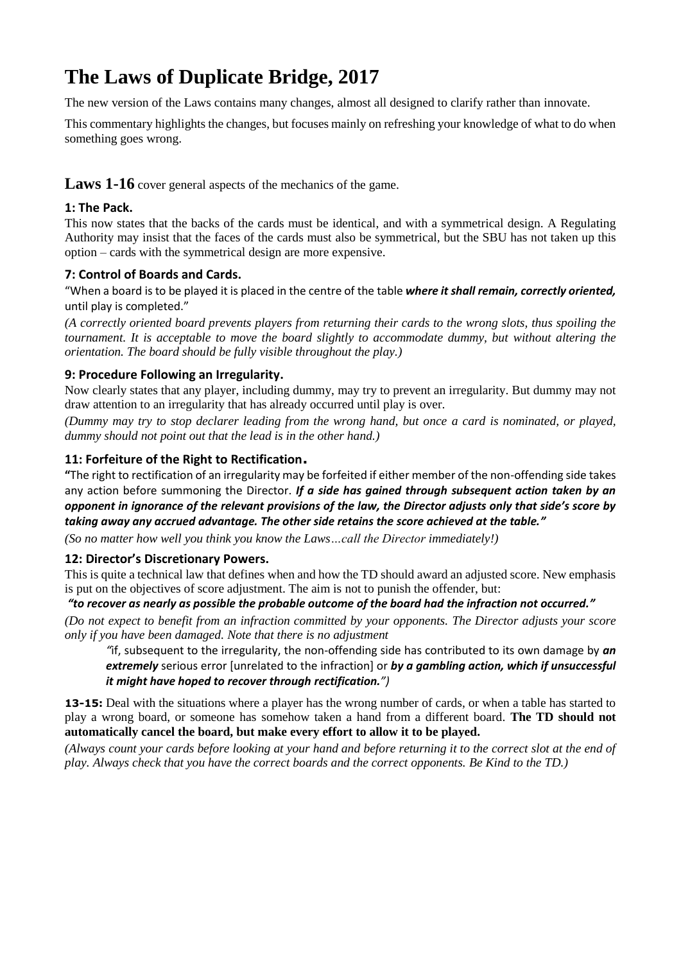# **The Laws of Duplicate Bridge, 2017**

The new version of the Laws contains many changes, almost all designed to clarify rather than innovate.

This commentary highlights the changes, but focuses mainly on refreshing your knowledge of what to do when something goes wrong.

Laws 1-16 cover general aspects of the mechanics of the game.

# **1: The Pack.**

This now states that the backs of the cards must be identical, and with a symmetrical design. A Regulating Authority may insist that the faces of the cards must also be symmetrical, but the SBU has not taken up this option – cards with the symmetrical design are more expensive.

# **7: Control of Boards and Cards.**

"When a board is to be played it is placed in the centre of the table *where it shall remain, correctly oriented,* until play is completed."

*(A correctly oriented board prevents players from returning their cards to the wrong slots, thus spoiling the tournament. It is acceptable to move the board slightly to accommodate dummy, but without altering the orientation. The board should be fully visible throughout the play.)*

# **9: Procedure Following an Irregularity.**

Now clearly states that any player, including dummy, may try to prevent an irregularity. But dummy may not draw attention to an irregularity that has already occurred until play is over.

*(Dummy may try to stop declarer leading from the wrong hand, but once a card is nominated, or played, dummy should not point out that the lead is in the other hand.)*

# **11: Forfeiture of the Right to Rectification.**

**"**The right to rectification of an irregularity may be forfeited if either member of the non-offending side takes any action before summoning the Director. *If a side has gained through subsequent action taken by an opponent in ignorance of the relevant provisions of the law, the Director adjusts only that side's score by taking away any accrued advantage. The other side retains the score achieved at the table."*

*(So no matter how well you think you know the Laws…call the Director immediately!)*

# **12: Director's Discretionary Powers.**

This is quite a technical law that defines when and how the TD should award an adjusted score. New emphasis is put on the objectives of score adjustment. The aim is not to punish the offender, but:

# *"to recover as nearly as possible the probable outcome of the board had the infraction not occurred."*

*(Do not expect to benefit from an infraction committed by your opponents. The Director adjusts your score only if you have been damaged. Note that there is no adjustment*

*"*if, subsequent to the irregularity, the non-offending side has contributed to its own damage by *an extremely* serious error [unrelated to the infraction] or *by a gambling action, which if unsuccessful it might have hoped to recover through rectification.")*

**13-15:** Deal with the situations where a player has the wrong number of cards, or when a table has started to play a wrong board, or someone has somehow taken a hand from a different board. **The TD should not automatically cancel the board, but make every effort to allow it to be played.**

*(Always count your cards before looking at your hand and before returning it to the correct slot at the end of play. Always check that you have the correct boards and the correct opponents. Be Kind to the TD.)*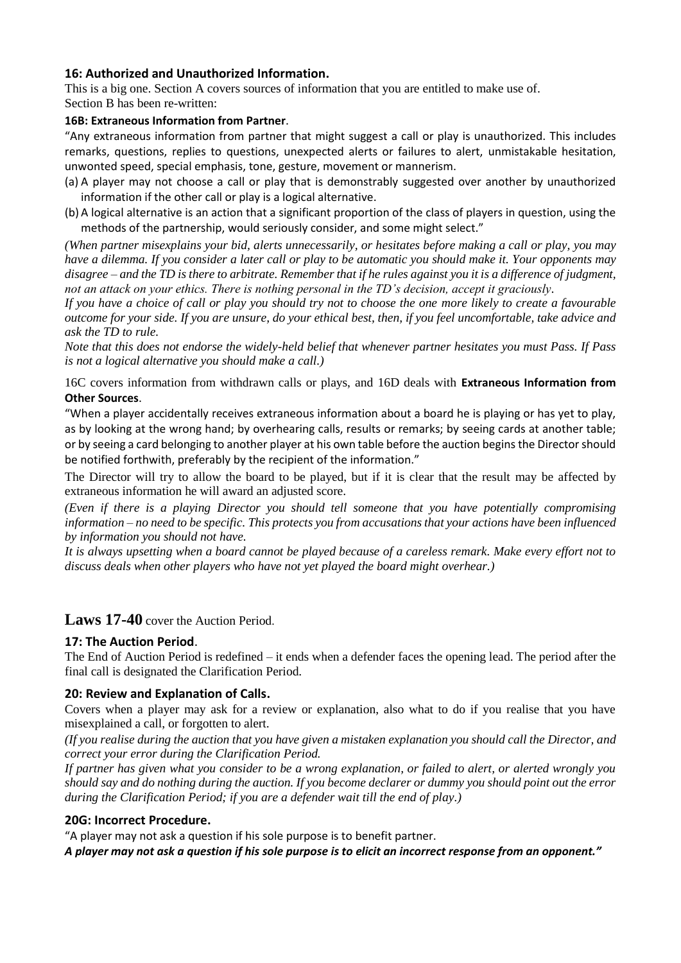## **16: Authorized and Unauthorized Information.**

This is a big one. Section A covers sources of information that you are entitled to make use of. Section B has been re-written:

## **16B: Extraneous Information from Partner**.

"Any extraneous information from partner that might suggest a call or play is unauthorized. This includes remarks, questions, replies to questions, unexpected alerts or failures to alert, unmistakable hesitation, unwonted speed, special emphasis, tone, gesture, movement or mannerism.

- (a) A player may not choose a call or play that is demonstrably suggested over another by unauthorized information if the other call or play is a logical alternative.
- (b) A logical alternative is an action that a significant proportion of the class of players in question, using the methods of the partnership, would seriously consider, and some might select."

*(When partner misexplains your bid, alerts unnecessarily, or hesitates before making a call or play, you may have a dilemma. If you consider a later call or play to be automatic you should make it. Your opponents may disagree – and the TD is there to arbitrate. Remember that if he rules against you it is a difference of judgment, not an attack on your ethics. There is nothing personal in the TD's decision, accept it graciously.* 

*If you have a choice of call or play you should try not to choose the one more likely to create a favourable outcome for your side. If you are unsure, do your ethical best, then, if you feel uncomfortable, take advice and ask the TD to rule.* 

*Note that this does not endorse the widely-held belief that whenever partner hesitates you must Pass. If Pass is not a logical alternative you should make a call.)*

16C covers information from withdrawn calls or plays, and 16D deals with **Extraneous Information from Other Sources**.

"When a player accidentally receives extraneous information about a board he is playing or has yet to play, as by looking at the wrong hand; by overhearing calls, results or remarks; by seeing cards at another table; or by seeing a card belonging to another player at his own table before the auction begins the Director should be notified forthwith, preferably by the recipient of the information."

The Director will try to allow the board to be played, but if it is clear that the result may be affected by extraneous information he will award an adjusted score.

*(Even if there is a playing Director you should tell someone that you have potentially compromising information – no need to be specific. This protects you from accusations that your actions have been influenced by information you should not have.*

*It is always upsetting when a board cannot be played because of a careless remark. Make every effort not to discuss deals when other players who have not yet played the board might overhear.)*

# Laws 17-40 cover the Auction Period.

## **17: The Auction Period**.

The End of Auction Period is redefined – it ends when a defender faces the opening lead. The period after the final call is designated the Clarification Period.

## **20: Review and Explanation of Calls.**

Covers when a player may ask for a review or explanation, also what to do if you realise that you have misexplained a call, or forgotten to alert.

*(If you realise during the auction that you have given a mistaken explanation you should call the Director, and correct your error during the Clarification Period.* 

*If partner has given what you consider to be a wrong explanation, or failed to alert, or alerted wrongly you should say and do nothing during the auction. If you become declarer or dummy you should point out the error during the Clarification Period; if you are a defender wait till the end of play.)*

## **20G: Incorrect Procedure.**

"A player may not ask a question if his sole purpose is to benefit partner.

*A player may not ask a question if his sole purpose is to elicit an incorrect response from an opponent."*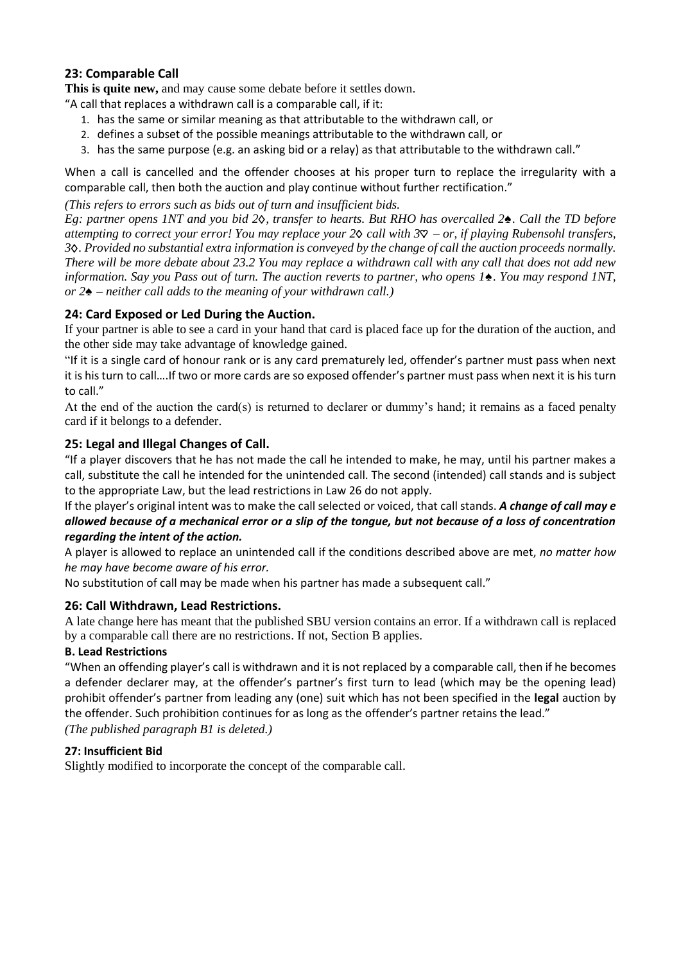# **23: Comparable Call**

**This is quite new,** and may cause some debate before it settles down.

"A call that replaces a withdrawn call is a comparable call, if it:

- 1. has the same or similar meaning as that attributable to the withdrawn call, or
- 2. defines a subset of the possible meanings attributable to the withdrawn call, or
- 3. has the same purpose (e.g. an asking bid or a relay) as that attributable to the withdrawn call."

When a call is cancelled and the offender chooses at his proper turn to replace the irregularity with a comparable call, then both the auction and play continue without further rectification."

*(This refers to errors such as bids out of turn and insufficient bids.*

*Eg: partner opens 1NT and you bid 2 , transfer to hearts. But RHO has overcalled 2♠. Call the TD before attempting to correct your error! You may replace your 2 call with 3 – or, if playing Rubensohl transfers, 3 . Provided no substantial extra information is conveyed by the change of call the auction proceeds normally. There will be more debate about 23.2 You may replace a withdrawn call with any call that does not add new information. Say you Pass out of turn. The auction reverts to partner, who opens 1♠. You may respond 1NT, or 2♠ – neither call adds to the meaning of your withdrawn call.)*

## **24: Card Exposed or Led During the Auction.**

If your partner is able to see a card in your hand that card is placed face up for the duration of the auction, and the other side may take advantage of knowledge gained.

"If it is a single card of honour rank or is any card prematurely led, offender's partner must pass when next it is his turn to call….If two or more cards are so exposed offender's partner must pass when next it is his turn to call."

At the end of the auction the card(s) is returned to declarer or dummy's hand; it remains as a faced penalty card if it belongs to a defender.

## **25: Legal and Illegal Changes of Call.**

"If a player discovers that he has not made the call he intended to make, he may, until his partner makes a call, substitute the call he intended for the unintended call. The second (intended) call stands and is subject to the appropriate Law, but the lead restrictions in Law 26 do not apply.

If the player's original intent was to make the call selected or voiced, that call stands. *A change of call may e allowed because of a mechanical error or a slip of the tongue, but not because of a loss of concentration regarding the intent of the action.*

A player is allowed to replace an unintended call if the conditions described above are met, *no matter how he may have become aware of his error.* 

No substitution of call may be made when his partner has made a subsequent call."

## **26: Call Withdrawn, Lead Restrictions.**

A late change here has meant that the published SBU version contains an error. If a withdrawn call is replaced by a comparable call there are no restrictions. If not, Section B applies.

## **B. Lead Restrictions**

"When an offending player's call is withdrawn and it is not replaced by a comparable call, then if he becomes a defender declarer may, at the offender's partner's first turn to lead (which may be the opening lead) prohibit offender's partner from leading any (one) suit which has not been specified in the **legal** auction by the offender. Such prohibition continues for as long as the offender's partner retains the lead." *(The published paragraph B1 is deleted.)* 

## **27: Insufficient Bid**

Slightly modified to incorporate the concept of the comparable call.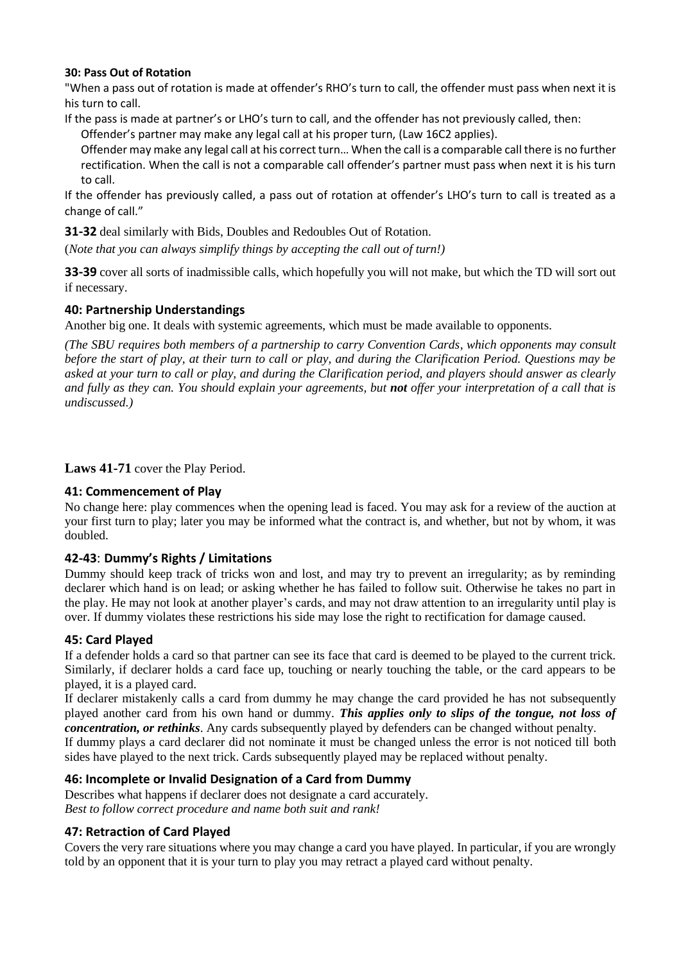## **30: Pass Out of Rotation**

"When a pass out of rotation is made at offender's RHO's turn to call, the offender must pass when next it is his turn to call.

If the pass is made at partner's or LHO's turn to call, and the offender has not previously called, then: Offender's partner may make any legal call at his proper turn, (Law 16C2 applies).

Offender may make any legal call at his correct turn… When the call is a comparable call there is no further rectification. When the call is not a comparable call offender's partner must pass when next it is his turn to call.

If the offender has previously called, a pass out of rotation at offender's LHO's turn to call is treated as a change of call."

**31-32** deal similarly with Bids, Doubles and Redoubles Out of Rotation.

(*Note that you can always simplify things by accepting the call out of turn!)*

**33-39** cover all sorts of inadmissible calls, which hopefully you will not make, but which the TD will sort out if necessary.

## **40: Partnership Understandings**

Another big one. It deals with systemic agreements, which must be made available to opponents.

*(The SBU requires both members of a partnership to carry Convention Cards, which opponents may consult before the start of play, at their turn to call or play, and during the Clarification Period. Questions may be asked at your turn to call or play, and during the Clarification period, and players should answer as clearly and fully as they can. You should explain your agreements, but not offer your interpretation of a call that is undiscussed.)*

**Laws 41-71** cover the Play Period.

## **41: Commencement of Play**

No change here: play commences when the opening lead is faced. You may ask for a review of the auction at your first turn to play; later you may be informed what the contract is, and whether, but not by whom, it was doubled.

## **42-43**: **Dummy's Rights / Limitations**

Dummy should keep track of tricks won and lost, and may try to prevent an irregularity; as by reminding declarer which hand is on lead; or asking whether he has failed to follow suit. Otherwise he takes no part in the play. He may not look at another player's cards, and may not draw attention to an irregularity until play is over. If dummy violates these restrictions his side may lose the right to rectification for damage caused.

## **45: Card Played**

If a defender holds a card so that partner can see its face that card is deemed to be played to the current trick. Similarly, if declarer holds a card face up, touching or nearly touching the table, or the card appears to be played, it is a played card.

If declarer mistakenly calls a card from dummy he may change the card provided he has not subsequently played another card from his own hand or dummy. *This applies only to slips of the tongue, not loss of concentration, or rethinks*. Any cards subsequently played by defenders can be changed without penalty. If dummy plays a card declarer did not nominate it must be changed unless the error is not noticed till both sides have played to the next trick. Cards subsequently played may be replaced without penalty.

## **46: Incomplete or Invalid Designation of a Card from Dummy**

Describes what happens if declarer does not designate a card accurately. *Best to follow correct procedure and name both suit and rank!*

## **47: Retraction of Card Played**

Covers the very rare situations where you may change a card you have played. In particular, if you are wrongly told by an opponent that it is your turn to play you may retract a played card without penalty.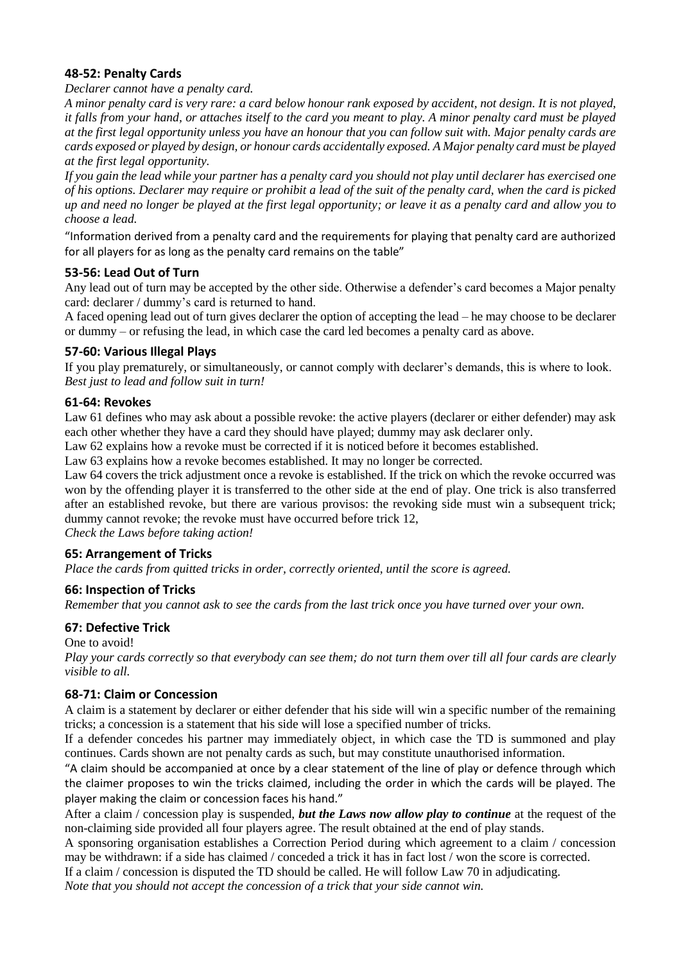## **48-52: Penalty Cards**

## *Declarer cannot have a penalty card.*

*A minor penalty card is very rare: a card below honour rank exposed by accident, not design. It is not played, it falls from your hand, or attaches itself to the card you meant to play. A minor penalty card must be played at the first legal opportunity unless you have an honour that you can follow suit with. Major penalty cards are cards exposed or played by design, or honour cards accidentally exposed. A Major penalty card must be played at the first legal opportunity.* 

*If you gain the lead while your partner has a penalty card you should not play until declarer has exercised one of his options. Declarer may require or prohibit a lead of the suit of the penalty card, when the card is picked up and need no longer be played at the first legal opportunity; or leave it as a penalty card and allow you to choose a lead.*

"Information derived from a penalty card and the requirements for playing that penalty card are authorized for all players for as long as the penalty card remains on the table"

## **53-56: Lead Out of Turn**

Any lead out of turn may be accepted by the other side. Otherwise a defender's card becomes a Major penalty card: declarer / dummy's card is returned to hand.

A faced opening lead out of turn gives declarer the option of accepting the lead – he may choose to be declarer or dummy – or refusing the lead, in which case the card led becomes a penalty card as above.

## **57-60: Various Illegal Plays**

If you play prematurely, or simultaneously, or cannot comply with declarer's demands, this is where to look. *Best just to lead and follow suit in turn!*

## **61-64: Revokes**

Law 61 defines who may ask about a possible revoke: the active players (declarer or either defender) may ask each other whether they have a card they should have played; dummy may ask declarer only.

Law 62 explains how a revoke must be corrected if it is noticed before it becomes established.

Law 63 explains how a revoke becomes established. It may no longer be corrected.

Law 64 covers the trick adjustment once a revoke is established. If the trick on which the revoke occurred was won by the offending player it is transferred to the other side at the end of play. One trick is also transferred after an established revoke, but there are various provisos: the revoking side must win a subsequent trick; dummy cannot revoke; the revoke must have occurred before trick 12,

*Check the Laws before taking action!*

## **65: Arrangement of Tricks**

*Place the cards from quitted tricks in order, correctly oriented, until the score is agreed.*

## **66: Inspection of Tricks**

*Remember that you cannot ask to see the cards from the last trick once you have turned over your own.*

## **67: Defective Trick**

One to avoid!

*Play your cards correctly so that everybody can see them; do not turn them over till all four cards are clearly visible to all.*

## **68-71: Claim or Concession**

A claim is a statement by declarer or either defender that his side will win a specific number of the remaining tricks; a concession is a statement that his side will lose a specified number of tricks.

If a defender concedes his partner may immediately object, in which case the TD is summoned and play continues. Cards shown are not penalty cards as such, but may constitute unauthorised information.

"A claim should be accompanied at once by a clear statement of the line of play or defence through which the claimer proposes to win the tricks claimed, including the order in which the cards will be played. The player making the claim or concession faces his hand."

After a claim / concession play is suspended, *but the Laws now allow play to continue* at the request of the non-claiming side provided all four players agree. The result obtained at the end of play stands.

A sponsoring organisation establishes a Correction Period during which agreement to a claim / concession may be withdrawn: if a side has claimed / conceded a trick it has in fact lost / won the score is corrected.

If a claim / concession is disputed the TD should be called. He will follow Law 70 in adjudicating.

*Note that you should not accept the concession of a trick that your side cannot win.*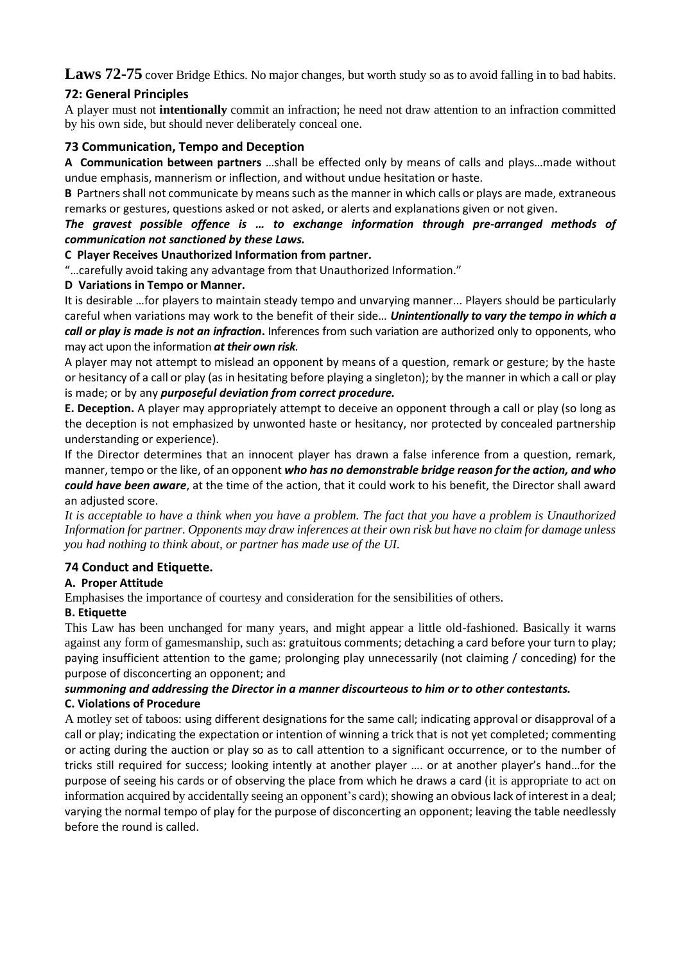Laws 72-75 cover Bridge Ethics. No major changes, but worth study so as to avoid falling in to bad habits.

# **72: General Principles**

A player must not **intentionally** commit an infraction; he need not draw attention to an infraction committed by his own side, but should never deliberately conceal one.

## **73 Communication, Tempo and Deception**

**A Communication between partners** …shall be effected only by means of calls and plays…made without undue emphasis, mannerism or inflection, and without undue hesitation or haste.

**B** Partners shall not communicate by means such as the manner in which calls or plays are made, extraneous remarks or gestures, questions asked or not asked, or alerts and explanations given or not given.

## *The gravest possible offence is … to exchange information through pre-arranged methods of communication not sanctioned by these Laws.*

## **C Player Receives Unauthorized Information from partner.**

"…carefully avoid taking any advantage from that Unauthorized Information."

## **D Variations in Tempo or Manner.**

It is desirable …for players to maintain steady tempo and unvarying manner... Players should be particularly careful when variations may work to the benefit of their side… *Unintentionally to vary the tempo in which a call or play is made is not an infraction***.** Inferences from such variation are authorized only to opponents, who may act upon the information *at their own risk.*

A player may not attempt to mislead an opponent by means of a question, remark or gesture; by the haste or hesitancy of a call or play (as in hesitating before playing a singleton); by the manner in which a call or play is made; or by any *purposeful deviation from correct procedure.*

**E. Deception.** A player may appropriately attempt to deceive an opponent through a call or play (so long as the deception is not emphasized by unwonted haste or hesitancy, nor protected by concealed partnership understanding or experience).

If the Director determines that an innocent player has drawn a false inference from a question, remark, manner, tempo or the like, of an opponent *who has no demonstrable bridge reason for the action, and who could have been aware*, at the time of the action, that it could work to his benefit, the Director shall award an adjusted score.

*It is acceptable to have a think when you have a problem. The fact that you have a problem is Unauthorized Information for partner. Opponents may draw inferences at their own risk but have no claim for damage unless you had nothing to think about, or partner has made use of the UI.*

## **74 Conduct and Etiquette.**

## **A. Proper Attitude**

Emphasises the importance of courtesy and consideration for the sensibilities of others.

## **B. Etiquette**

This Law has been unchanged for many years, and might appear a little old-fashioned. Basically it warns against any form of gamesmanship, such as: gratuitous comments; detaching a card before your turn to play; paying insufficient attention to the game; prolonging play unnecessarily (not claiming / conceding) for the purpose of disconcerting an opponent; and

## *summoning and addressing the Director in a manner discourteous to him or to other contestants.*  **C. Violations of Procedure**

A motley set of taboos: using different designations for the same call; indicating approval or disapproval of a call or play; indicating the expectation or intention of winning a trick that is not yet completed; commenting or acting during the auction or play so as to call attention to a significant occurrence, or to the number of tricks still required for success; looking intently at another player …. or at another player's hand…for the purpose of seeing his cards or of observing the place from which he draws a card (it is appropriate to act on information acquired by accidentally seeing an opponent's card); showing an obvious lack of interest in a deal; varying the normal tempo of play for the purpose of disconcerting an opponent; leaving the table needlessly before the round is called.